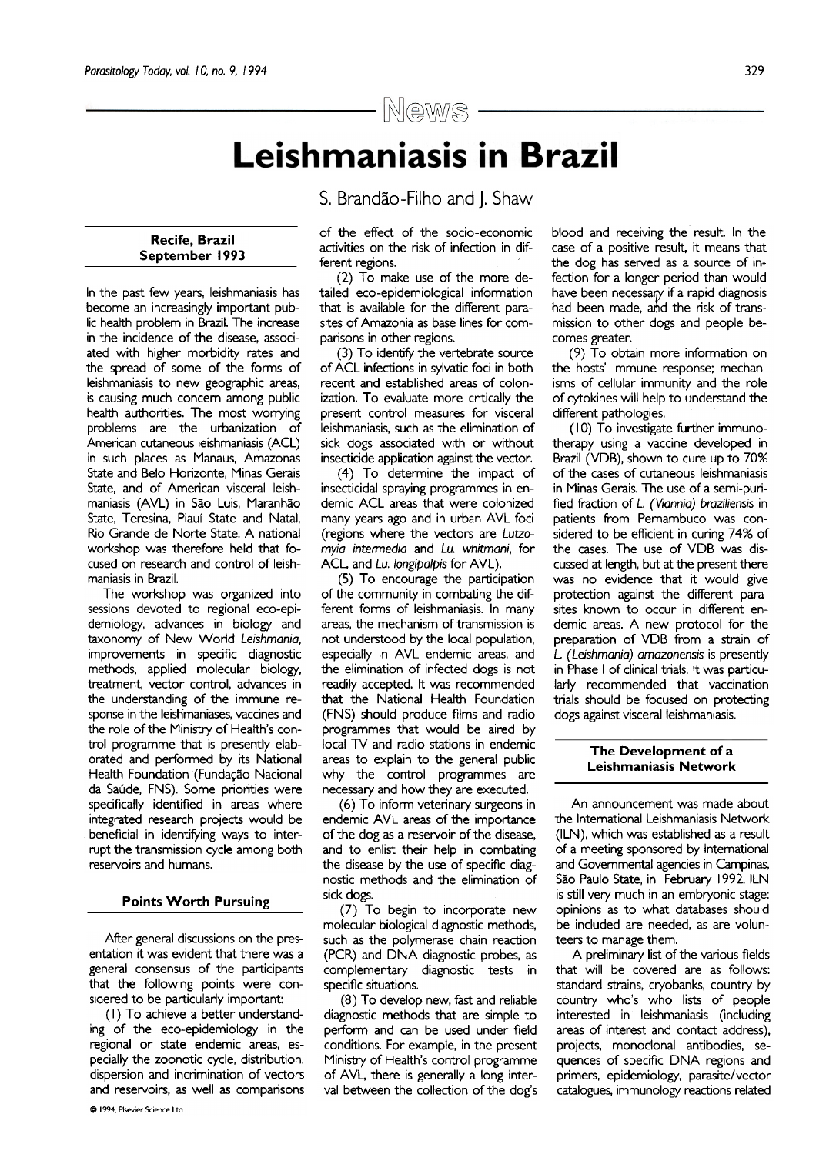# 

# Leishmaniasis in Brazil

# S. Brandão-Filho and J. Shaw

Recife, Brazil September 1993

In the past few years, leishmaniasis has become an increasingly important public heatth problem in Brazil. The increase in the incidence of the disease, associated with higher morbidity rates and the spread of some of the forms of leishmaniasis to new geographic areas, is causing much concem among public heatth authorities. The most worrying problems are the urbanization of American cutaneous leishmaniasis (ACL) in such places as Manaus, Amazonas State and Belo Horizonte, Minas Gerais State, and of American visceral leishmaniasis (AVL) in São Luis, Maranhão State, Teresina, Piauí State and Natal, Rio Grande de Norte State. A national workshop was therefore held that focused on research and control of leishmaniasis in Brazil.

The workshop was organized into sessions devoted to regional eco-epidemiology, advances in biology and taxonomy of New World Leishmania, improvements in specific diagnostic methods, applied molecular biology, treatment, vector control, advances in the understanding of the immune response in the leishmaniases, vaccines and the role of the Ministry of Health's control programme that is presently elaborated and performed by its National Heatth Foundation (Fundação Nacional da Saúde, FNS). Some priorities were specifically identified in areas where integrated research projects would be beneficial in identifying ways to interrupt the transmission cycle among both reservoirs and humans.

# Points Worth Pursuing

After general discussions on the presentation it was evident that there was a general consensus of the participants that the following points were considered to be particularly important:

( I) To achieve a better understanding of the eco-epidemiology in the regional or state endemic areas, especially the zoonotic cycle. distribution, dispersion and incrimination of vectors and reservoirs. as well as comparisons of the effect of the socio-economic activities on the risk of infection in different regions.

(2) To make use of the more detailed eco-epidemiological information that is available for the different parasrtes of Amazonia as base lines for comparisons in other regions.

(3) To identify the vertebrate source of ACL infections in sylvatic foci in both recent and established areas of colonization. To evaluate more critically the present control measures for visceral leishmaniasis, such as the elimination of sick dogs associated with or without insecticide application against the vector.

 $(4)$  To determine the impact of insecticidal spraying programmes in endemic ACL areas that were colonized many years ago and in urban AVL foci (regions where the vectors are Lutzomyia intermedia and Lu. whitmani, for ACL, and Lu. longipalpis for AVL).

(5) To encourage the participation of the community in combating the different forms of leishmaniasis. In many areas, the mechanism of transmission is not understood by the local population, especially in AVL endemic areas, and the elimination of infected dogs is not readily accepted. It was recommended that the National Health Foundation (FNS) should produce films and radio programmes that would be aired by local TV and radio stations in endemic areas to explain to the general public why the control programmes are necessary and how they are executed.

(6) To inform veterinary surgeons in endemic AVL areas of the importance of the dog as a reservoir of the disease. and to enlist their help in combating the disease by the use of specific diagnostic methods and the elimination of sick dogs.

(7) To begin to incorporate new molecular biological diagnostic methods, such as the polymerase chain reaction (PCR) and DNA diagnostic probes, as complementary diagnostic tests in specific situations.

(8) To develop new. fast and reliable diagnostic methods that are simple to perform and can be used under field conditions. For example, in the present Ministry of Health's control programme of AVL, there is generally a long intervai between the collection of the dog's blood and receiving the result. In the case of a positive result, it means that the dog has served as a source of infection for a longer period than would have been necessary if a rapid diagnosis had been made, and the risk of transmission to other dogs and people becomes greater.

(9) To obtain more information on the hosts' immune response; mechanisms of cellular immunity and the role of cytokines will help to understand the different pathologies.

(10) To investigate further immunotherapy using a vaccine developed in Brazil (VDB), shown to cure up to 70% of the cases of cutaneous leishmaniasis in Minas Gerais. The use of a semi-purified fraction of L. (Viannia) braziliensis in patients from Pemambuco was considered to be efficient in curing 74% of the cases. The use of VDB was discussed at length, but at the present there was no evidence that it would give protection against the different parasites known to occur in different endemic areas. A new protocol for the preparation of VDB from a strain of L. (Leishmania) amazonensis is presently in Phase I of clinical trials. It was particularly recommended that vaccination trials should be focused on protecting dogs against visceral leishmaniasis.

### The Development of a leishmaniasis Network

An announcement was made about the Intemational Leishmaniasis Network (ILN), which was established as a result of a meeting sponsored by Intemational and Govemmental agencies in Campinas. São Paulo State, in February 1992. ILN is still very much in an embryonic stage: opinions as to what databases should be included are needed, as are volunteers to manage them.

A preliminary list of the various fields that will be covered are as follows: standard strains, cryobanks, country by country who's who lists of people interested in leishmaniasis (including areas of interest and contact address). projects, monoclonal antibodies, sequences of specific DNA regions and primers, epidemiology. parasite/vector catalogues. immunology reactions related